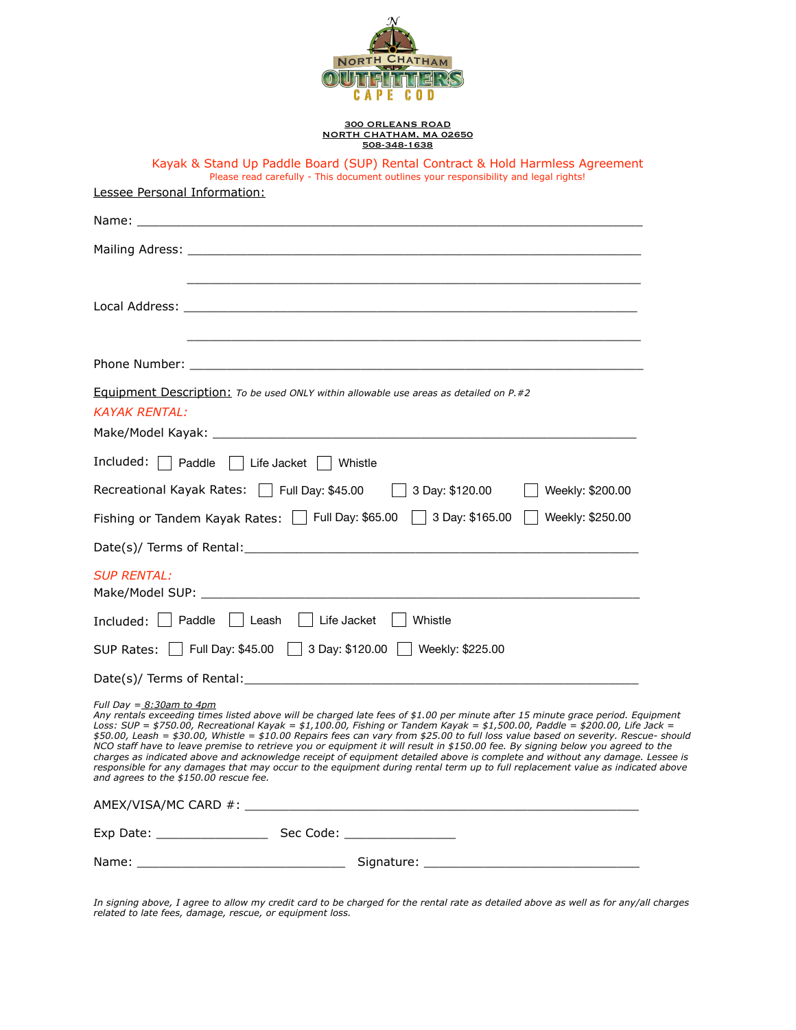

## 300 ORLEANS ROAD NORTH CHATHAM, MA 02650 508-348-1638

| Kayak & Stand Up Paddle Board (SUP) Rental Contract & Hold Harmless Agreement<br>Please read carefully - This document outlines your responsibility and legal rights!                                                                                                                                                                                                                                                                                                                                                                                                                                                                                                                                                                                                                                                                                                            |
|----------------------------------------------------------------------------------------------------------------------------------------------------------------------------------------------------------------------------------------------------------------------------------------------------------------------------------------------------------------------------------------------------------------------------------------------------------------------------------------------------------------------------------------------------------------------------------------------------------------------------------------------------------------------------------------------------------------------------------------------------------------------------------------------------------------------------------------------------------------------------------|
| Lessee Personal Information:                                                                                                                                                                                                                                                                                                                                                                                                                                                                                                                                                                                                                                                                                                                                                                                                                                                     |
|                                                                                                                                                                                                                                                                                                                                                                                                                                                                                                                                                                                                                                                                                                                                                                                                                                                                                  |
|                                                                                                                                                                                                                                                                                                                                                                                                                                                                                                                                                                                                                                                                                                                                                                                                                                                                                  |
|                                                                                                                                                                                                                                                                                                                                                                                                                                                                                                                                                                                                                                                                                                                                                                                                                                                                                  |
|                                                                                                                                                                                                                                                                                                                                                                                                                                                                                                                                                                                                                                                                                                                                                                                                                                                                                  |
| <b>Equipment Description:</b> To be used ONLY within allowable use areas as detailed on $P \neq 2$<br><b>KAYAK RENTAL:</b>                                                                                                                                                                                                                                                                                                                                                                                                                                                                                                                                                                                                                                                                                                                                                       |
| Included: Paddle Life Jacket   Whistle                                                                                                                                                                                                                                                                                                                                                                                                                                                                                                                                                                                                                                                                                                                                                                                                                                           |
| Recreational Kayak Rates: $\Box$ Full Day: \$45.00 $\Box$ 3 Day: \$120.00<br>Weekly: \$200.00                                                                                                                                                                                                                                                                                                                                                                                                                                                                                                                                                                                                                                                                                                                                                                                    |
| Fishing or Tandem Kayak Rates: Full Day: \$65.00 3 Day: \$165.00 T Weekly: \$250.00                                                                                                                                                                                                                                                                                                                                                                                                                                                                                                                                                                                                                                                                                                                                                                                              |
|                                                                                                                                                                                                                                                                                                                                                                                                                                                                                                                                                                                                                                                                                                                                                                                                                                                                                  |
| <b>SUP RENTAL:</b>                                                                                                                                                                                                                                                                                                                                                                                                                                                                                                                                                                                                                                                                                                                                                                                                                                                               |
| Included:   Paddle   Leash   Life Jacket   Whistle                                                                                                                                                                                                                                                                                                                                                                                                                                                                                                                                                                                                                                                                                                                                                                                                                               |
| SUP Rates:     Full Day: \$45.00     3 Day: \$120.00     Weekly: \$225.00                                                                                                                                                                                                                                                                                                                                                                                                                                                                                                                                                                                                                                                                                                                                                                                                        |
|                                                                                                                                                                                                                                                                                                                                                                                                                                                                                                                                                                                                                                                                                                                                                                                                                                                                                  |
| Full Day = 8:30am to 4pm<br>Any rentals exceeding times listed above will be charged late fees of \$1.00 per minute after 15 minute grace period. Equipment<br>Loss: SUP = \$750.00, Recreational Kayak = \$1,100.00, Fishing or Tandem Kayak = \$1,500.00, Paddle = \$200.00, Life Jack =<br>\$50.00, Leash = \$30.00, Whistle = \$10.00 Repairs fees can vary from \$25.00 to full loss value based on severity. Rescue- should<br>NCO staff have to leave premise to retrieve you or equipment it will result in \$150.00 fee. By signing below you agreed to the<br>charges as indicated above and acknowledge receipt of equipment detailed above is complete and without any damage. Lessee is<br>responsible for any damages that may occur to the equipment during rental term up to full replacement value as indicated above<br>and agrees to the \$150.00 rescue fee. |
|                                                                                                                                                                                                                                                                                                                                                                                                                                                                                                                                                                                                                                                                                                                                                                                                                                                                                  |
|                                                                                                                                                                                                                                                                                                                                                                                                                                                                                                                                                                                                                                                                                                                                                                                                                                                                                  |
|                                                                                                                                                                                                                                                                                                                                                                                                                                                                                                                                                                                                                                                                                                                                                                                                                                                                                  |

*In signing above, I agree to allow my credit card to be charged for the rental rate as detailed above as well as for any/all charges related to late fees, damage, rescue, or equipment loss.*